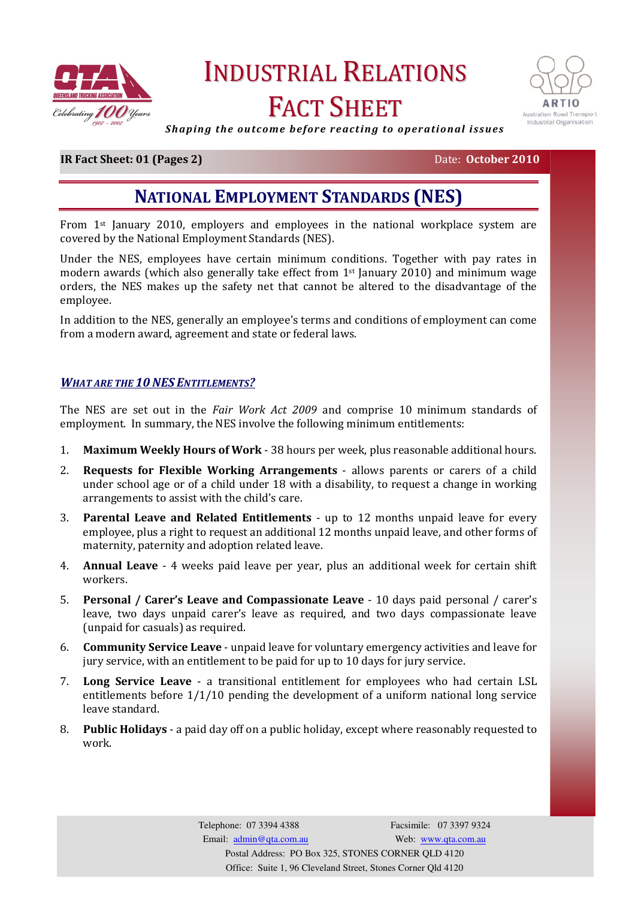

# INDUSTRIAL RELATIONS FACT SHEET



Shaping the outcome before reacting to operational issues

# **IR Fact Sheet: 01 (Pages 2)** Date: October 2010

# NATIONAL EMPLOYMENT STANDARDS (NES)

From 1st January 2010, employers and employees in the national workplace system are covered by the National Employment Standards (NES).

Under the NES, employees have certain minimum conditions. Together with pay rates in modern awards (which also generally take effect from  $1<sup>st</sup>$  January 2010) and minimum wage orders, the NES makes up the safety net that cannot be altered to the disadvantage of the employee.

In addition to the NES, generally an employee's terms and conditions of employment can come from a modern award, agreement and state or federal laws.

#### WHAT ARE THE 10 NES ENTITLEMENTS?

The NES are set out in the Fair Work Act 2009 and comprise 10 minimum standards of employment. In summary, the NES involve the following minimum entitlements:

- 1. Maximum Weekly Hours of Work 38 hours per week, plus reasonable additional hours.
- 2. Requests for Flexible Working Arrangements allows parents or carers of a child under school age or of a child under 18 with a disability, to request a change in working arrangements to assist with the child's care.
- 3. Parental Leave and Related Entitlements up to 12 months unpaid leave for every employee, plus a right to request an additional 12 months unpaid leave, and other forms of maternity, paternity and adoption related leave.
- 4. Annual Leave 4 weeks paid leave per year, plus an additional week for certain shift workers.
- 5. Personal / Carer's Leave and Compassionate Leave 10 days paid personal / carer's leave, two days unpaid carer's leave as required, and two days compassionate leave (unpaid for casuals) as required.
- 6. Community Service Leave unpaid leave for voluntary emergency activities and leave for jury service, with an entitlement to be paid for up to 10 days for jury service.
- 7. Long Service Leave a transitional entitlement for employees who had certain LSL entitlements before 1/1/10 pending the development of a uniform national long service leave standard.
- 8. Public Holidays a paid day off on a public holiday, except where reasonably requested to work.